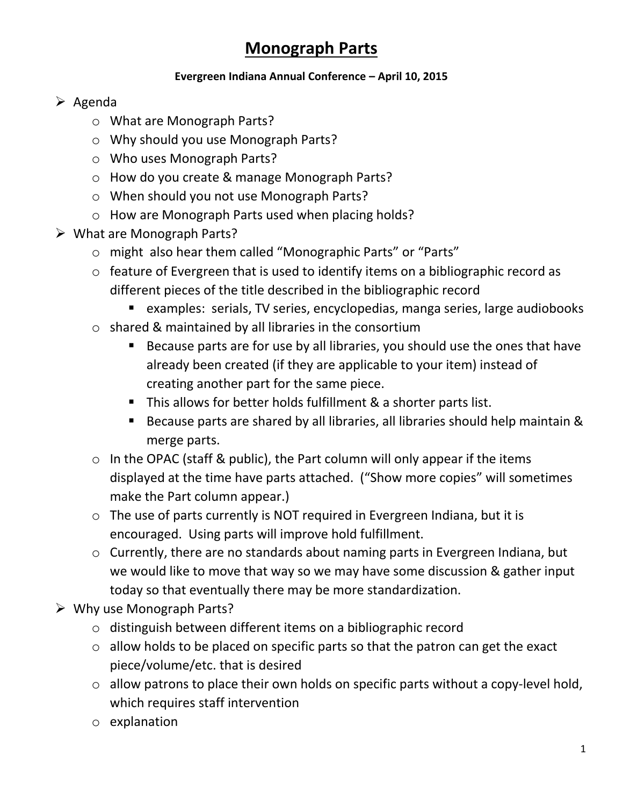## **Monograph Parts**

## **Evergreen Indiana Annual Conference – April 10, 2015**

## $\triangleright$  Agenda

- o What are Monograph Parts?
- o Why should you use Monograph Parts?
- o Who uses Monograph Parts?
- o How do you create & manage Monograph Parts?
- o When should you not use Monograph Parts?
- o How are Monograph Parts used when placing holds?
- $\triangleright$  What are Monograph Parts?
	- o might also hear them called "Monographic Parts" or "Parts"
	- o feature of Evergreen that is used to identify items on a bibliographic record as different pieces of the title described in the bibliographic record
		- examples: serials, TV series, encyclopedias, manga series, large audiobooks
	- o shared & maintained by all libraries in the consortium
		- Because parts are for use by all libraries, you should use the ones that have already been created (if they are applicable to your item) instead of creating another part for the same piece.
		- This allows for better holds fulfillment & a shorter parts list.
		- Because parts are shared by all libraries, all libraries should help maintain & merge parts.
	- $\circ$  In the OPAC (staff & public), the Part column will only appear if the items displayed at the time have parts attached. ("Show more copies" will sometimes make the Part column appear.)
	- o The use of parts currently is NOT required in Evergreen Indiana, but it is encouraged. Using parts will improve hold fulfillment.
	- o Currently, there are no standards about naming parts in Evergreen Indiana, but we would like to move that way so we may have some discussion & gather input today so that eventually there may be more standardization.
- Why use Monograph Parts?
	- o distinguish between different items on a bibliographic record
	- o allow holds to be placed on specific parts so that the patron can get the exact piece/volume/etc. that is desired
	- o allow patrons to place their own holds on specific parts without a copy-level hold, which requires staff intervention
	- o explanation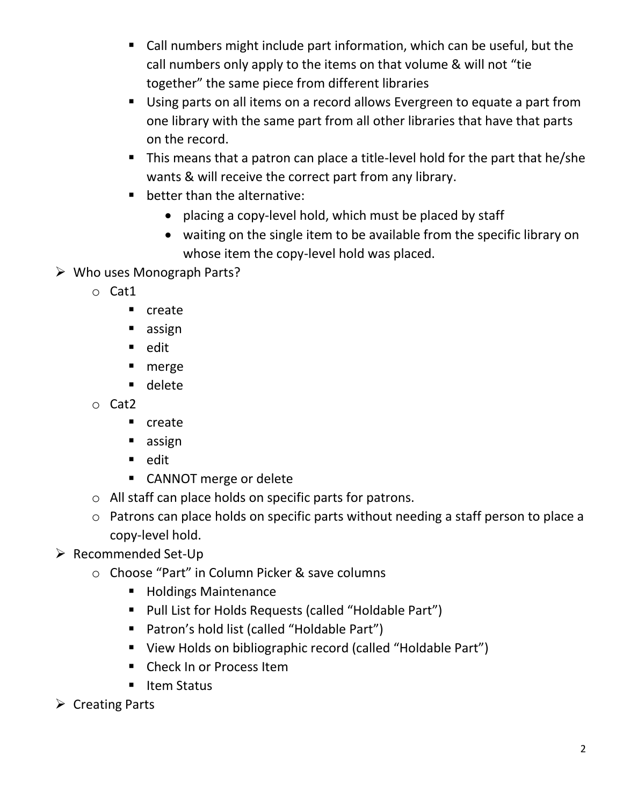- Call numbers might include part information, which can be useful, but the call numbers only apply to the items on that volume & will not "tie together" the same piece from different libraries
- Using parts on all items on a record allows Evergreen to equate a part from one library with the same part from all other libraries that have that parts on the record.
- This means that a patron can place a title-level hold for the part that he/she wants & will receive the correct part from any library.
- **•** better than the alternative:
	- placing a copy-level hold, which must be placed by staff
	- waiting on the single item to be available from the specific library on whose item the copy-level hold was placed.
- Who uses Monograph Parts?
	- o Cat1
		- **n** create
		- **assign**
		- edit
		- **nerge**
		- delete
	- o Cat2
		- **•** create
		- **assign**
		- edit
		- CANNOT merge or delete
	- o All staff can place holds on specific parts for patrons.
	- o Patrons can place holds on specific parts without needing a staff person to place a copy-level hold.
- $\triangleright$  Recommended Set-Up
	- o Choose "Part" in Column Picker & save columns
		- Holdings Maintenance
		- Pull List for Holds Requests (called "Holdable Part")
		- Patron's hold list (called "Holdable Part")
		- View Holds on bibliographic record (called "Holdable Part")
		- **Check In or Process Item**
		- Item Status
- $\triangleright$  Creating Parts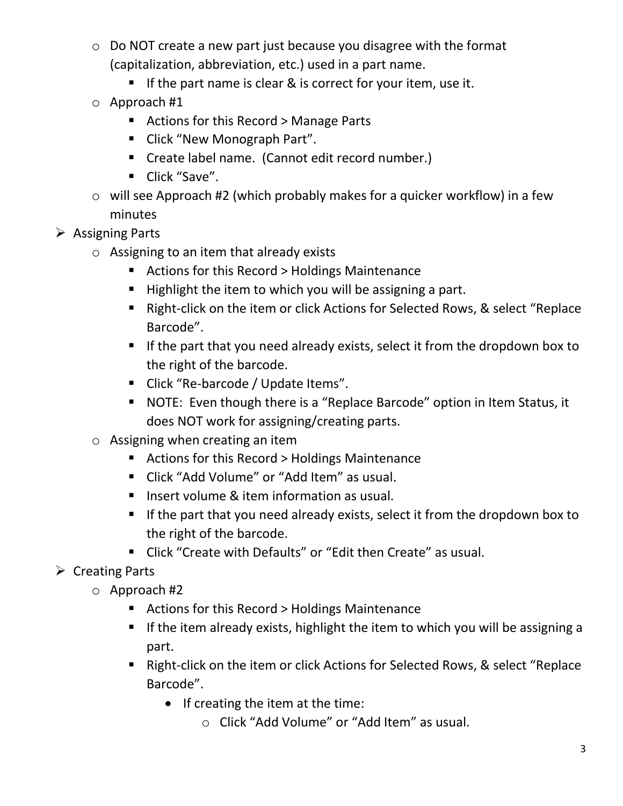- o Do NOT create a new part just because you disagree with the format (capitalization, abbreviation, etc.) used in a part name.
	- If the part name is clear  $\&$  is correct for your item, use it.
- o Approach #1
	- Actions for this Record > Manage Parts
	- **E** Click "New Monograph Part".
	- Create label name. (Cannot edit record number.)
	- Click "Save".
- o will see Approach #2 (which probably makes for a quicker workflow) in a few minutes
- $\triangleright$  Assigning Parts
	- o Assigning to an item that already exists
		- Actions for this Record > Holdings Maintenance
		- Highlight the item to which you will be assigning a part.
		- Right-click on the item or click Actions for Selected Rows, & select "Replace Barcode".
		- If the part that you need already exists, select it from the dropdown box to the right of the barcode.
		- Click "Re-barcode / Update Items".
		- NOTE: Even though there is a "Replace Barcode" option in Item Status, it does NOT work for assigning/creating parts.
	- $\circ$  Assigning when creating an item
		- Actions for this Record > Holdings Maintenance
		- Click "Add Volume" or "Add Item" as usual.
		- **Insert volume & item information as usual.**
		- If the part that you need already exists, select it from the dropdown box to the right of the barcode.
		- Click "Create with Defaults" or "Edit then Create" as usual.
- $\triangleright$  Creating Parts
	- o Approach #2
		- Actions for this Record > Holdings Maintenance
		- **If the item already exists, highlight the item to which you will be assigning a** part.
		- Right-click on the item or click Actions for Selected Rows, & select "Replace Barcode".
			- If creating the item at the time:
				- o Click "Add Volume" or "Add Item" as usual.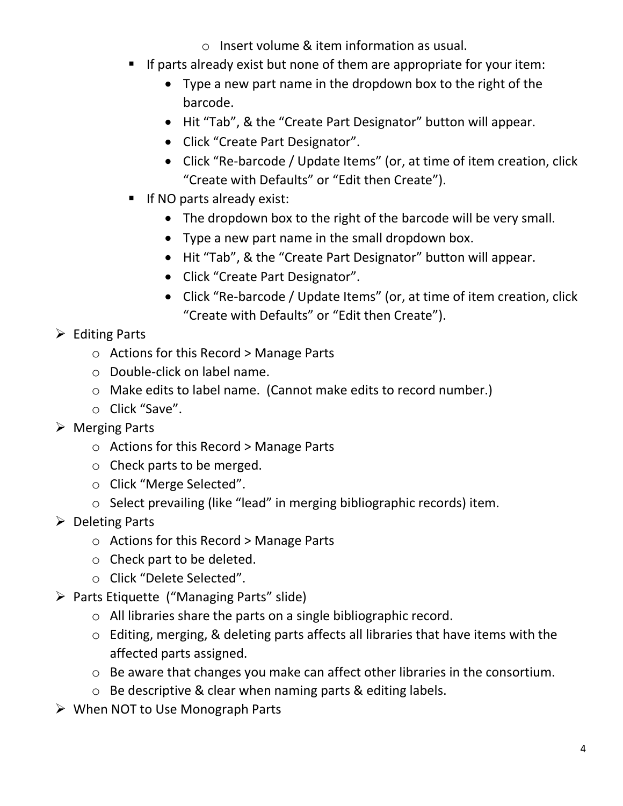- o Insert volume & item information as usual.
- If parts already exist but none of them are appropriate for your item:
	- Type a new part name in the dropdown box to the right of the barcode.
	- Hit "Tab", & the "Create Part Designator" button will appear.
	- Click "Create Part Designator".
	- Click "Re-barcode / Update Items" (or, at time of item creation, click "Create with Defaults" or "Edit then Create").
- If NO parts already exist:
	- The dropdown box to the right of the barcode will be very small.
	- Type a new part name in the small dropdown box.
	- Hit "Tab", & the "Create Part Designator" button will appear.
	- Click "Create Part Designator".
	- Click "Re-barcode / Update Items" (or, at time of item creation, click "Create with Defaults" or "Edit then Create").

## $\triangleright$  Editing Parts

- o Actions for this Record > Manage Parts
- o Double-click on label name.
- o Make edits to label name. (Cannot make edits to record number.)
- o Click "Save".
- Merging Parts
	- o Actions for this Record > Manage Parts
	- o Check parts to be merged.
	- o Click "Merge Selected".
	- o Select prevailing (like "lead" in merging bibliographic records) item.
- $\triangleright$  Deleting Parts
	- o Actions for this Record > Manage Parts
	- o Check part to be deleted.
	- o Click "Delete Selected".
- Parts Etiquette ("Managing Parts" slide)
	- o All libraries share the parts on a single bibliographic record.
	- o Editing, merging, & deleting parts affects all libraries that have items with the affected parts assigned.
	- o Be aware that changes you make can affect other libraries in the consortium.
	- o Be descriptive & clear when naming parts & editing labels.
- $\triangleright$  When NOT to Use Monograph Parts